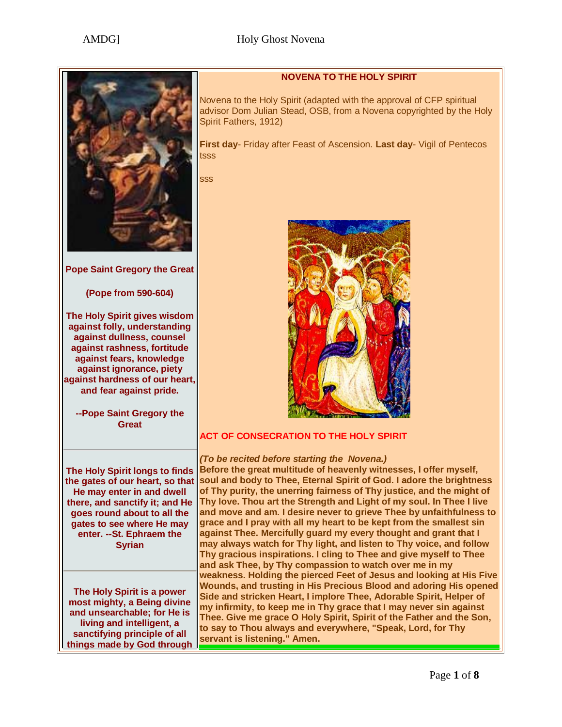

**Pope Saint Gregory the Great** 

#### **(Pope from 590-604)**

**The Holy Spirit gives wisdom against folly, understanding against dullness, counsel against rashness, fortitude against fears, knowledge against ignorance, piety against hardness of our heart, and fear against pride.**

**--Pope Saint Gregory the Great**

## **NOVENA TO THE HOLY SPIRIT**

Novena to the Holy Spirit (adapted with the approval of CFP spiritual advisor Dom Julian Stead, OSB, from a Novena copyrighted by the Holy Spirit Fathers, 1912)

**First day**- Friday after Feast of Ascension. **Last day**- Vigil of Pentecos tsss

sss



# **ACT OF CONSECRATION TO THE HOLY SPIRIT**

**The Holy Spirit longs to finds the gates of our heart, so that He may enter in and dwell there, and sanctify it; and He goes round about to all the gates to see where He may enter. --St. Ephraem the Syrian**

**The Holy Spirit is a power most mighty, a Being divine and unsearchable; for He is living and intelligent, a sanctifying principle of all things made by God through** 

*(To be recited before starting the Novena.)* **Before the great multitude of heavenly witnesses, I offer myself, soul and body to Thee, Eternal Spirit of God. I adore the brightness of Thy purity, the unerring fairness of Thy justice, and the might of Thy love. Thou art the Strength and Light of my soul. In Thee I live and move and am. I desire never to grieve Thee by unfaithfulness to grace and I pray with all my heart to be kept from the smallest sin against Thee. Mercifully guard my every thought and grant that I may always watch for Thy light, and listen to Thy voice, and follow Thy gracious inspirations. I cling to Thee and give myself to Thee and ask Thee, by Thy compassion to watch over me in my weakness. Holding the pierced Feet of Jesus and looking at His Five Wounds, and trusting in His Precious Blood and adoring His opened Side and stricken Heart, I implore Thee, Adorable Spirit, Helper of my infirmity, to keep me in Thy grace that I may never sin against Thee. Give me grace O Holy Spirit, Spirit of the Father and the Son, to say to Thou always and everywhere, "Speak, Lord, for Thy servant is listening." Amen.**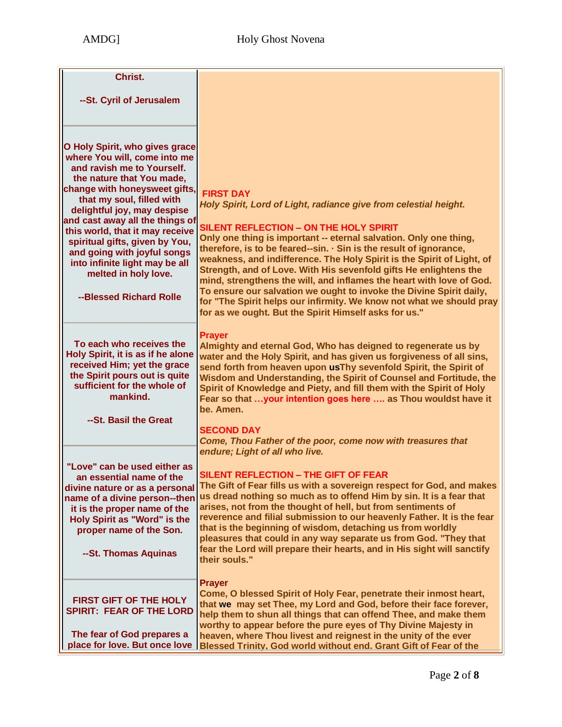| Christ.                                                                                                                                                                                                                                                                                                                                                                                                                                            |                                                                                                                                                                                                                                                                                                                                                                                                                                                                                                                                                                                                                                                                                                                 |
|----------------------------------------------------------------------------------------------------------------------------------------------------------------------------------------------------------------------------------------------------------------------------------------------------------------------------------------------------------------------------------------------------------------------------------------------------|-----------------------------------------------------------------------------------------------------------------------------------------------------------------------------------------------------------------------------------------------------------------------------------------------------------------------------------------------------------------------------------------------------------------------------------------------------------------------------------------------------------------------------------------------------------------------------------------------------------------------------------------------------------------------------------------------------------------|
| --St. Cyril of Jerusalem                                                                                                                                                                                                                                                                                                                                                                                                                           |                                                                                                                                                                                                                                                                                                                                                                                                                                                                                                                                                                                                                                                                                                                 |
|                                                                                                                                                                                                                                                                                                                                                                                                                                                    |                                                                                                                                                                                                                                                                                                                                                                                                                                                                                                                                                                                                                                                                                                                 |
| O Holy Spirit, who gives grace<br>where You will, come into me<br>and ravish me to Yourself.<br>the nature that You made.<br>change with honeysweet gifts,<br>that my soul, filled with<br>delightful joy, may despise<br>and cast away all the things of<br>this world, that it may receive<br>spiritual gifts, given by You,<br>and going with joyful songs<br>into infinite light may be all<br>melted in holy love.<br>--Blessed Richard Rolle | <b>FIRST DAY</b><br>Holy Spirit, Lord of Light, radiance give from celestial height.<br><b>SILENT REFLECTION - ON THE HOLY SPIRIT</b><br>Only one thing is important -- eternal salvation. Only one thing,<br>therefore, is to be feared--sin. · Sin is the result of ignorance,<br>weakness, and indifference. The Holy Spirit is the Spirit of Light, of<br>Strength, and of Love. With His sevenfold gifts He enlightens the<br>mind, strengthens the will, and inflames the heart with love of God.<br>To ensure our salvation we ought to invoke the Divine Spirit daily,<br>for "The Spirit helps our infirmity. We know not what we should pray<br>for as we ought. But the Spirit Himself asks for us." |
| To each who receives the<br>Holy Spirit, it is as if he alone<br>received Him; yet the grace<br>the Spirit pours out is quite<br>sufficient for the whole of<br>mankind.<br>--St. Basil the Great                                                                                                                                                                                                                                                  | <b>Prayer</b><br>Almighty and eternal God, Who has deigned to regenerate us by<br>water and the Holy Spirit, and has given us forgiveness of all sins,<br>send forth from heaven upon usThy sevenfold Spirit, the Spirit of<br>Wisdom and Understanding, the Spirit of Counsel and Fortitude, the<br>Spirit of Knowledge and Piety, and fill them with the Spirit of Holy<br>Fear so that your intention goes here  as Thou wouldst have it<br>be. Amen.<br><b>SECOND DAY</b>                                                                                                                                                                                                                                   |
|                                                                                                                                                                                                                                                                                                                                                                                                                                                    | Come, Thou Father of the poor, come now with treasures that<br>endure; Light of all who live.                                                                                                                                                                                                                                                                                                                                                                                                                                                                                                                                                                                                                   |
| "Love" can be used either as<br>an essential name of the<br>divine nature or as a personal<br>name of a divine person--then<br>it is the proper name of the<br>Holy Spirit as "Word" is the<br>proper name of the Son.<br>--St. Thomas Aquinas                                                                                                                                                                                                     | <b>SILENT REFLECTION - THE GIFT OF FEAR</b><br>The Gift of Fear fills us with a sovereign respect for God, and makes<br>us dread nothing so much as to offend Him by sin. It is a fear that<br>arises, not from the thought of hell, but from sentiments of<br>reverence and filial submission to our heavenly Father. It is the fear<br>that is the beginning of wisdom, detaching us from worldly<br>pleasures that could in any way separate us from God. "They that<br>fear the Lord will prepare their hearts, and in His sight will sanctify<br>their souls."                                                                                                                                             |
| FIRST GIFT OF THE HOLY<br><b>SPIRIT: FEAR OF THE LORD</b><br>The fear of God prepares a<br>place for love. But once love                                                                                                                                                                                                                                                                                                                           | <b>Prayer</b><br>Come, O blessed Spirit of Holy Fear, penetrate their inmost heart,<br>that we may set Thee, my Lord and God, before their face forever,<br>help them to shun all things that can offend Thee, and make them<br>worthy to appear before the pure eyes of Thy Divine Majesty in<br>heaven, where Thou livest and reignest in the unity of the ever<br>Blessed Trinity, God world without end. Grant Gift of Fear of the                                                                                                                                                                                                                                                                          |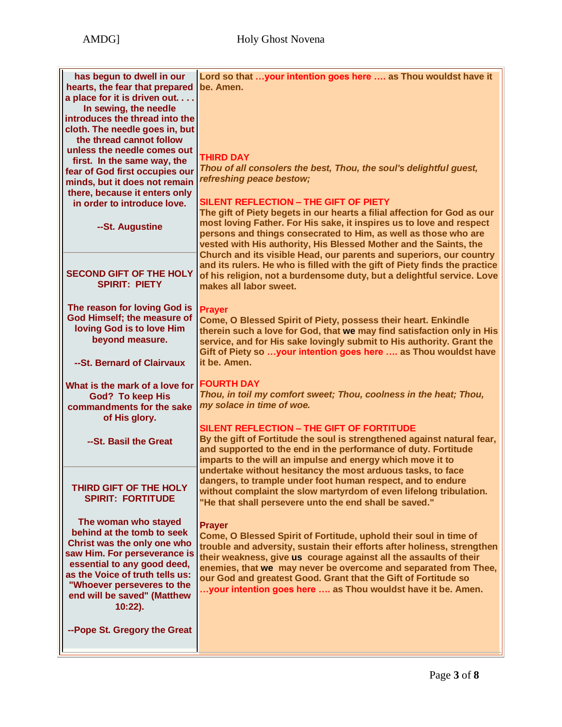| has begun to dwell in our<br>hearts, the fear that prepared<br>a place for it is driven out<br>In sewing, the needle<br>introduces the thread into the<br>cloth. The needle goes in, but<br>the thread cannot follow<br>unless the needle comes out<br>first. In the same way, the<br>fear of God first occupies our<br>minds, but it does not remain<br>there, because it enters only<br>in order to introduce love.<br>--St. Augustine | Lord so that your intention goes here  as Thou wouldst have it<br>be. Amen.<br><b>THIRD DAY</b><br>Thou of all consolers the best, Thou, the soul's delightful guest,<br>refreshing peace bestow;<br>SILENT REFLECTION - THE GIFT OF PIETY<br>The gift of Piety begets in our hearts a filial affection for God as our<br>most loving Father. For His sake, it inspires us to love and respect<br>persons and things consecrated to Him, as well as those who are<br>vested with His authority, His Blessed Mother and the Saints, the |
|------------------------------------------------------------------------------------------------------------------------------------------------------------------------------------------------------------------------------------------------------------------------------------------------------------------------------------------------------------------------------------------------------------------------------------------|----------------------------------------------------------------------------------------------------------------------------------------------------------------------------------------------------------------------------------------------------------------------------------------------------------------------------------------------------------------------------------------------------------------------------------------------------------------------------------------------------------------------------------------|
| <b>SECOND GIFT OF THE HOLY</b><br><b>SPIRIT: PIETY</b>                                                                                                                                                                                                                                                                                                                                                                                   | Church and its visible Head, our parents and superiors, our country<br>and its rulers. He who is filled with the gift of Piety finds the practice<br>of his religion, not a burdensome duty, but a delightful service. Love<br>makes all labor sweet.                                                                                                                                                                                                                                                                                  |
| The reason for loving God is<br>God Himself; the measure of<br>loving God is to love Him<br>beyond measure.<br>--St. Bernard of Clairvaux                                                                                                                                                                                                                                                                                                | <b>Prayer</b><br>Come, O Blessed Spirit of Piety, possess their heart. Enkindle<br>therein such a love for God, that we may find satisfaction only in His<br>service, and for His sake lovingly submit to His authority. Grant the<br>Gift of Piety so your intention goes here  as Thou wouldst have<br>it be. Amen.                                                                                                                                                                                                                  |
| What is the mark of a love for<br><b>God? To keep His</b><br>commandments for the sake<br>of His glory.<br>--St. Basil the Great                                                                                                                                                                                                                                                                                                         | <b>FOURTH DAY</b><br>Thou, in toil my comfort sweet; Thou, coolness in the heat; Thou,<br>my solace in time of woe.<br>SILENT REFLECTION - THE GIFT OF FORTITUDE<br>By the gift of Fortitude the soul is strengthened against natural fear,<br>and supported to the end in the performance of duty. Fortitude<br>imparts to the will an impulse and energy which move it to                                                                                                                                                            |
| THIRD GIFT OF THE HOLY<br><b>SPIRIT: FORTITUDE</b>                                                                                                                                                                                                                                                                                                                                                                                       | undertake without hesitancy the most arduous tasks, to face<br>dangers, to trample under foot human respect, and to endure<br>without complaint the slow martyrdom of even lifelong tribulation.<br>"He that shall persevere unto the end shall be saved."                                                                                                                                                                                                                                                                             |
| The woman who stayed<br>behind at the tomb to seek<br>Christ was the only one who<br>saw Him. For perseverance is<br>essential to any good deed,<br>as the Voice of truth tells us:<br>"Whoever perseveres to the<br>end will be saved" (Matthew<br>$10:22$ ).                                                                                                                                                                           | <b>Prayer</b><br>Come, O Blessed Spirit of Fortitude, uphold their soul in time of<br>trouble and adversity, sustain their efforts after holiness, strengthen<br>their weakness, give us courage against all the assaults of their<br>enemies, that we may never be overcome and separated from Thee,<br>our God and greatest Good. Grant that the Gift of Fortitude so<br>your intention goes here  as Thou wouldst have it be. Amen.                                                                                                 |
| --Pope St. Gregory the Great                                                                                                                                                                                                                                                                                                                                                                                                             |                                                                                                                                                                                                                                                                                                                                                                                                                                                                                                                                        |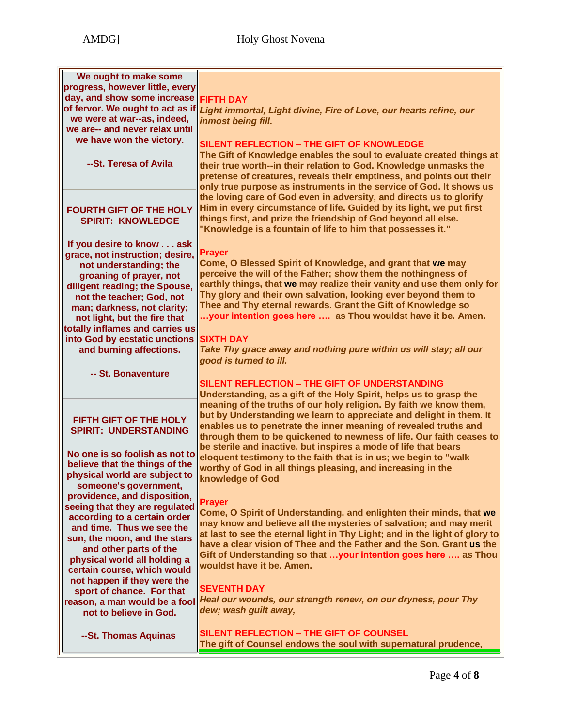| We ought to make some            |                                                                             |
|----------------------------------|-----------------------------------------------------------------------------|
| progress, however little, every  |                                                                             |
| day, and show some increase      | <b>FIFTH DAY</b>                                                            |
| of fervor. We ought to act as if | Light immortal, Light divine, Fire of Love, our hearts refine, our          |
| we were at war--as, indeed,      | inmost being fill.                                                          |
| we are-- and never relax until   |                                                                             |
| we have won the victory.         |                                                                             |
|                                  | <b>SILENT REFLECTION - THE GIFT OF KNOWLEDGE</b>                            |
|                                  | The Gift of Knowledge enables the soul to evaluate created things at        |
| --St. Teresa of Avila            | their true worth--in their relation to God. Knowledge unmasks the           |
|                                  | pretense of creatures, reveals their emptiness, and points out their        |
|                                  | only true purpose as instruments in the service of God. It shows us         |
|                                  | the loving care of God even in adversity, and directs us to glorify         |
| <b>FOURTH GIFT OF THE HOLY</b>   | Him in every circumstance of life. Guided by its light, we put first        |
| <b>SPIRIT: KNOWLEDGE</b>         | things first, and prize the friendship of God beyond all else.              |
|                                  | "Knowledge is a fountain of life to him that possesses it."                 |
|                                  |                                                                             |
| If you desire to know ask        |                                                                             |
| grace, not instruction; desire,  | <b>Prayer</b>                                                               |
| not understanding; the           | Come, O Blessed Spirit of Knowledge, and grant that we may                  |
| groaning of prayer, not          | perceive the will of the Father; show them the nothingness of               |
| diligent reading; the Spouse,    | earthly things, that we may realize their vanity and use them only for      |
| not the teacher; God, not        | Thy glory and their own salvation, looking ever beyond them to              |
| man; darkness, not clarity;      | Thee and Thy eternal rewards. Grant the Gift of Knowledge so                |
| not light, but the fire that     | your intention goes here  as Thou wouldst have it be. Amen.                 |
| totally inflames and carries us  |                                                                             |
| into God by ecstatic unctions    | <b>SIXTH DAY</b>                                                            |
| and burning affections.          | Take Thy grace away and nothing pure within us will stay; all our           |
|                                  | good is turned to ill.                                                      |
| -- St. Bonaventure               |                                                                             |
|                                  | SILENT REFLECTION - THE GIFT OF UNDERSTANDING                               |
|                                  | Understanding, as a gift of the Holy Spirit, helps us to grasp the          |
|                                  | meaning of the truths of our holy religion. By faith we know them,          |
|                                  | but by Understanding we learn to appreciate and delight in them. It         |
| FIFTH GIFT OF THE HOLY           | enables us to penetrate the inner meaning of revealed truths and            |
| <b>SPIRIT: UNDERSTANDING</b>     | through them to be quickened to newness of life. Our faith ceases to        |
|                                  |                                                                             |
| No one is so foolish as not to   | be sterile and inactive, but inspires a mode of life that bears             |
| believe that the things of the   | eloquent testimony to the faith that is in us; we begin to "walk            |
| physical world are subject to    | worthy of God in all things pleasing, and increasing in the                 |
| someone's government,            | knowledge of God                                                            |
| providence, and disposition,     |                                                                             |
| seeing that they are regulated   | <b>Prayer</b>                                                               |
| according to a certain order     | Come, O Spirit of Understanding, and enlighten their minds, that we         |
| and time. Thus we see the        | may know and believe all the mysteries of salvation; and may merit          |
| sun, the moon, and the stars     | at last to see the eternal light in Thy Light; and in the light of glory to |
| and other parts of the           | have a clear vision of Thee and the Father and the Son. Grant us the        |
| physical world all holding a     | Gift of Understanding so that your intention goes here  as Thou             |
| certain course, which would      | wouldst have it be. Amen.                                                   |
| not happen if they were the      |                                                                             |
| sport of chance. For that        | <b>SEVENTH DAY</b>                                                          |
|                                  | Heal our wounds, our strength renew, on our dryness, pour Thy               |
| reason, a man would be a fool    | dew; wash guilt away,                                                       |
| not to believe in God.           |                                                                             |
|                                  |                                                                             |
| --St. Thomas Aquinas             | <b>SILENT REFLECTION - THE GIFT OF COUNSEL</b>                              |
|                                  | The gift of Counsel endows the soul with supernatural prudence,             |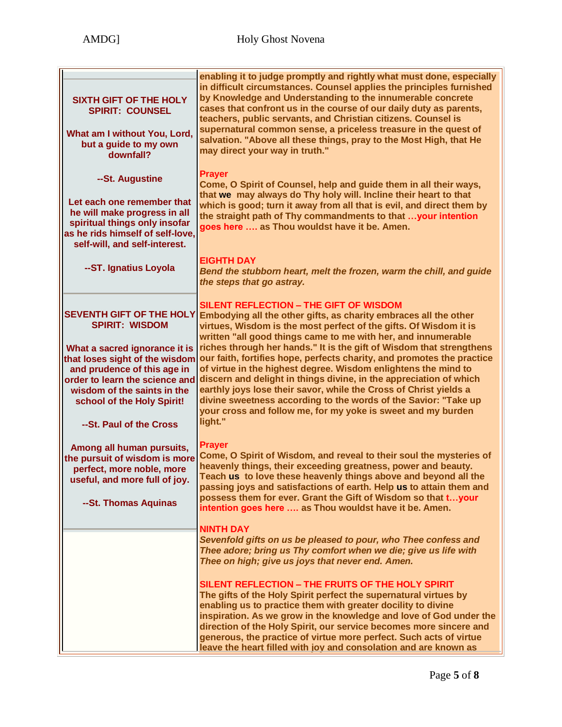| <b>SIXTH GIFT OF THE HOLY</b><br><b>SPIRIT: COUNSEL</b><br>What am I without You, Lord,<br>but a guide to my own<br>downfall?                                                                                                                                                        | enabling it to judge promptly and rightly what must done, especially<br>in difficult circumstances. Counsel applies the principles furnished<br>by Knowledge and Understanding to the innumerable concrete<br>cases that confront us in the course of our daily duty as parents,<br>teachers, public servants, and Christian citizens. Counsel is<br>supernatural common sense, a priceless treasure in the quest of<br>salvation. "Above all these things, pray to the Most High, that He<br>may direct your way in truth."                                                                                                                                                                                                                                         |
|--------------------------------------------------------------------------------------------------------------------------------------------------------------------------------------------------------------------------------------------------------------------------------------|----------------------------------------------------------------------------------------------------------------------------------------------------------------------------------------------------------------------------------------------------------------------------------------------------------------------------------------------------------------------------------------------------------------------------------------------------------------------------------------------------------------------------------------------------------------------------------------------------------------------------------------------------------------------------------------------------------------------------------------------------------------------|
| --St. Augustine                                                                                                                                                                                                                                                                      | <b>Prayer</b>                                                                                                                                                                                                                                                                                                                                                                                                                                                                                                                                                                                                                                                                                                                                                        |
| Let each one remember that<br>he will make progress in all<br>spiritual things only insofar<br>as he rids himself of self-love,<br>self-will, and self-interest.                                                                                                                     | Come, O Spirit of Counsel, help and guide them in all their ways,<br>that we may always do Thy holy will. Incline their heart to that<br>which is good; turn it away from all that is evil, and direct them by<br>the straight path of Thy commandments to that  your intention<br>goes here  as Thou wouldst have it be. Amen.                                                                                                                                                                                                                                                                                                                                                                                                                                      |
| --ST. Ignatius Loyola                                                                                                                                                                                                                                                                | <b>EIGHTH DAY</b><br>Bend the stubborn heart, melt the frozen, warm the chill, and guide<br>the steps that go astray.                                                                                                                                                                                                                                                                                                                                                                                                                                                                                                                                                                                                                                                |
| <b>SEVENTH GIFT OF THE HOLY</b><br><b>SPIRIT: WISDOM</b><br>What a sacred ignorance it is<br>that loses sight of the wisdom<br>and prudence of this age in<br>order to learn the science and<br>wisdom of the saints in the<br>school of the Holy Spirit!<br>--St. Paul of the Cross | <b>SILENT REFLECTION - THE GIFT OF WISDOM</b><br>Embodying all the other gifts, as charity embraces all the other<br>virtues, Wisdom is the most perfect of the gifts. Of Wisdom it is<br>written "all good things came to me with her, and innumerable<br>riches through her hands." It is the gift of Wisdom that strengthens<br>our faith, fortifies hope, perfects charity, and promotes the practice<br>of virtue in the highest degree. Wisdom enlightens the mind to<br>discern and delight in things divine, in the appreciation of which<br>earthly joys lose their savor, while the Cross of Christ yields a<br>divine sweetness according to the words of the Savior: "Take up<br>your cross and follow me, for my yoke is sweet and my burden<br>light." |
| Among all human pursuits,<br>the pursuit of wisdom is more<br>perfect, more noble, more<br>useful, and more full of joy.<br>--St. Thomas Aquinas                                                                                                                                     | <b>Prayer</b><br>Come, O Spirit of Wisdom, and reveal to their soul the mysteries of<br>heavenly things, their exceeding greatness, power and beauty.<br>Teach us to love these heavenly things above and beyond all the<br>passing joys and satisfactions of earth. Help us to attain them and<br>possess them for ever. Grant the Gift of Wisdom so that tyour<br>intention goes here  as Thou wouldst have it be. Amen.                                                                                                                                                                                                                                                                                                                                           |
|                                                                                                                                                                                                                                                                                      | <b>NINTH DAY</b><br>Sevenfold gifts on us be pleased to pour, who Thee confess and<br>Thee adore; bring us Thy comfort when we die; give us life with<br>Thee on high; give us joys that never end. Amen.<br>SILENT REFLECTION - THE FRUITS OF THE HOLY SPIRIT<br>The gifts of the Holy Spirit perfect the supernatural virtues by<br>enabling us to practice them with greater docility to divine<br>inspiration. As we grow in the knowledge and love of God under the<br>direction of the Holy Spirit, our service becomes more sincere and<br>generous, the practice of virtue more perfect. Such acts of virtue<br>leave the heart filled with joy and consolation and are known as                                                                             |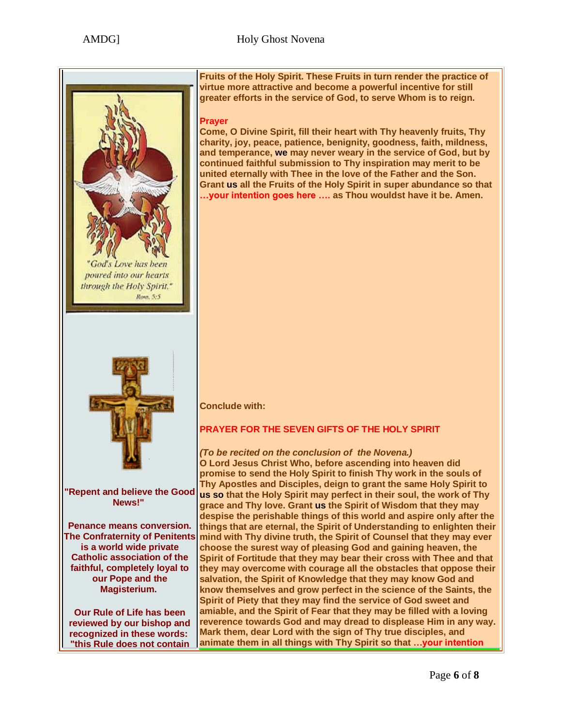

**"this Rule does not contain** 

**Fruits of the Holy Spirit. These Fruits in turn render the practice of virtue more attractive and become a powerful incentive for still greater efforts in the service of God, to serve Whom is to reign.**

## **Prayer**

**Come, O Divine Spirit, fill their heart with Thy heavenly fruits, Thy charity, joy, peace, patience, benignity, goodness, faith, mildness, and temperance, we may never weary in the service of God, but by continued faithful submission to Thy inspiration may merit to be united eternally with Thee in the love of the Father and the Son. Grant us all the Fruits of the Holy Spirit in super abundance so that …your intention goes here …. as Thou wouldst have it be. Amen.**

## **Conclude with:**

# **PRAYER FOR THE SEVEN GIFTS OF THE HOLY SPIRIT**

*(To be recited on the conclusion of the Novena.)* **O Lord Jesus Christ Who, before ascending into heaven did promise to send the Holy Spirit to finish Thy work in the souls of Thy Apostles and Disciples, deign to grant the same Holy Spirit to us so that the Holy Spirit may perfect in their soul, the work of Thy grace and Thy love. Grant us the Spirit of Wisdom that they may despise the perishable things of this world and aspire only after the things that are eternal, the Spirit of Understanding to enlighten their mind with Thy divine truth, the Spirit of Counsel that they may ever choose the surest way of pleasing God and gaining heaven, the Spirit of Fortitude that they may bear their cross with Thee and that they may overcome with courage all the obstacles that oppose their salvation, the Spirit of Knowledge that they may know God and know themselves and grow perfect in the science of the Saints, the Spirit of Piety that they may find the service of God sweet and amiable, and the Spirit of Fear that they may be filled with a loving reverence towards God and may dread to displease Him in any way. Mark them, dear Lord with the sign of Thy true disciples, and animate them in all things with Thy Spirit so that …your intention**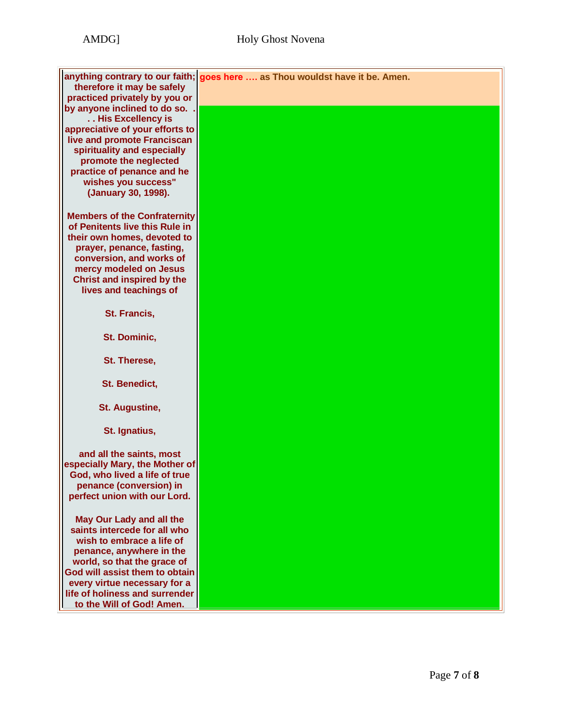| therefore it may be safely                                      | anything contrary to our faith; goes here  as Thou wouldst have it be. Amen. |
|-----------------------------------------------------------------|------------------------------------------------------------------------------|
| practiced privately by you or                                   |                                                                              |
| by anyone inclined to do so.                                    |                                                                              |
| His Excellency is                                               |                                                                              |
| appreciative of your efforts to                                 |                                                                              |
| live and promote Franciscan                                     |                                                                              |
| spirituality and especially                                     |                                                                              |
| promote the neglected                                           |                                                                              |
| practice of penance and he                                      |                                                                              |
| wishes you success"                                             |                                                                              |
| (January 30, 1998).                                             |                                                                              |
|                                                                 |                                                                              |
|                                                                 |                                                                              |
| <b>Members of the Confraternity</b>                             |                                                                              |
| of Penitents live this Rule in                                  |                                                                              |
| their own homes, devoted to                                     |                                                                              |
| prayer, penance, fasting,                                       |                                                                              |
| conversion, and works of                                        |                                                                              |
| mercy modeled on Jesus                                          |                                                                              |
| <b>Christ and inspired by the</b>                               |                                                                              |
| lives and teachings of                                          |                                                                              |
|                                                                 |                                                                              |
| St. Francis,                                                    |                                                                              |
|                                                                 |                                                                              |
| St. Dominic,                                                    |                                                                              |
|                                                                 |                                                                              |
| St. Therese,                                                    |                                                                              |
|                                                                 |                                                                              |
| St. Benedict,                                                   |                                                                              |
|                                                                 |                                                                              |
| St. Augustine,                                                  |                                                                              |
|                                                                 |                                                                              |
| St. Ignatius,                                                   |                                                                              |
|                                                                 |                                                                              |
|                                                                 |                                                                              |
| and all the saints, most                                        |                                                                              |
| especially Mary, the Mother of<br>God, who lived a life of true |                                                                              |
|                                                                 |                                                                              |
| penance (conversion) in<br>perfect union with our Lord.         |                                                                              |
|                                                                 |                                                                              |
|                                                                 |                                                                              |
| May Our Lady and all the                                        |                                                                              |
| saints intercede for all who                                    |                                                                              |
| wish to embrace a life of                                       |                                                                              |
| penance, anywhere in the                                        |                                                                              |
| world, so that the grace of                                     |                                                                              |
| God will assist them to obtain                                  |                                                                              |
| every virtue necessary for a                                    |                                                                              |
| life of holiness and surrender                                  |                                                                              |
| to the Will of God! Amen.                                       |                                                                              |